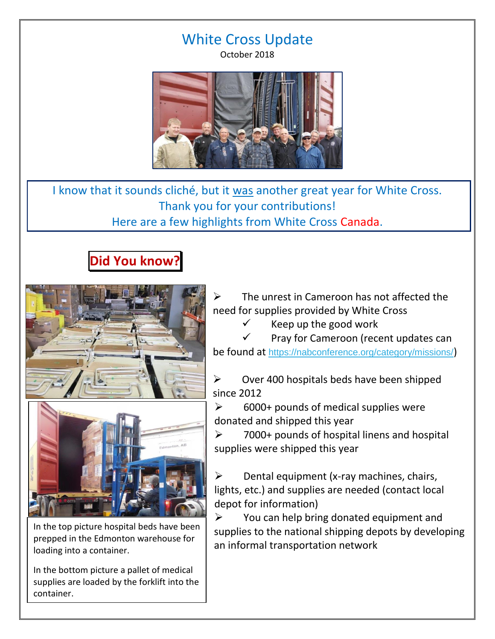## White Cross Update

October 2018



I know that it sounds cliché, but it was another great year for White Cross. Thank you for your contributions! Here are a few highlights from White Cross Canada.

## **Did You know?**





In the top picture hospital beds have been prepped in the Edmonton warehouse for loading into a container.

In the bottom picture a pallet of medical supplies are loaded by the forklift into the container.

 The unrest in Cameroon has not affected the need for supplies provided by White Cross

Keep up the good work

 Pray for Cameroon (recent updates can be found at [https://nabconference.org/category/missions/](https://nabconference.us2.list-manage.com/track/click?u=87685ed8fccdf76badc1d7026&id=62a20e4b5a&e=d3d22990f3))

 $\triangleright$  Over 400 hospitals beds have been shipped since 2012

 $\geq$  6000+ pounds of medical supplies were donated and shipped this year

 $\geq$  7000+ pounds of hospital linens and hospital supplies were shipped this year

 $\triangleright$  Dental equipment (x-ray machines, chairs, lights, etc.) and supplies are needed (contact local depot for information)

 $\triangleright$  You can help bring donated equipment and supplies to the national shipping depots by developing an informal transportation network